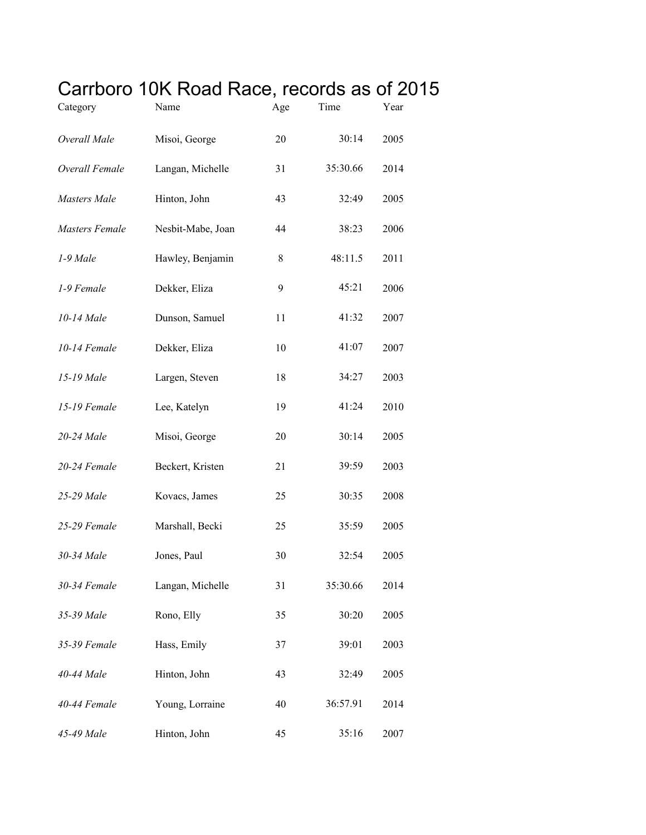## Carrboro 10K Road Race, records as of 2015

| Category              | Name              | Age | Time     | Year |
|-----------------------|-------------------|-----|----------|------|
| Overall Male          | Misoi, George     | 20  | 30:14    | 2005 |
| Overall Female        | Langan, Michelle  | 31  | 35:30.66 | 2014 |
| Masters Male          | Hinton, John      | 43  | 32:49    | 2005 |
| <b>Masters Female</b> | Nesbit-Mabe, Joan | 44  | 38:23    | 2006 |
| 1-9 Male              | Hawley, Benjamin  | 8   | 48:11.5  | 2011 |
| 1-9 Female            | Dekker, Eliza     | 9   | 45:21    | 2006 |
| 10-14 Male            | Dunson, Samuel    | 11  | 41:32    | 2007 |
| 10-14 Female          | Dekker, Eliza     | 10  | 41:07    | 2007 |
| 15-19 Male            | Largen, Steven    | 18  | 34:27    | 2003 |
| 15-19 Female          | Lee, Katelyn      | 19  | 41:24    | 2010 |
| 20-24 Male            | Misoi, George     | 20  | 30:14    | 2005 |
| 20-24 Female          | Beckert, Kristen  | 21  | 39:59    | 2003 |
| 25-29 Male            | Kovacs, James     | 25  | 30:35    | 2008 |
| 25-29 Female          | Marshall, Becki   | 25  | 35:59    | 2005 |
| 30-34 Male            | Jones, Paul       | 30  | 32:54    | 2005 |
| 30-34 Female          | Langan, Michelle  | 31  | 35:30.66 | 2014 |
| 35-39 Male            | Rono, Elly        | 35  | 30:20    | 2005 |
| 35-39 Female          | Hass, Emily       | 37  | 39:01    | 2003 |
| 40-44 Male            | Hinton, John      | 43  | 32:49    | 2005 |
| 40-44 Female          | Young, Lorraine   | 40  | 36:57.91 | 2014 |
| 45-49 Male            | Hinton, John      | 45  | 35:16    | 2007 |